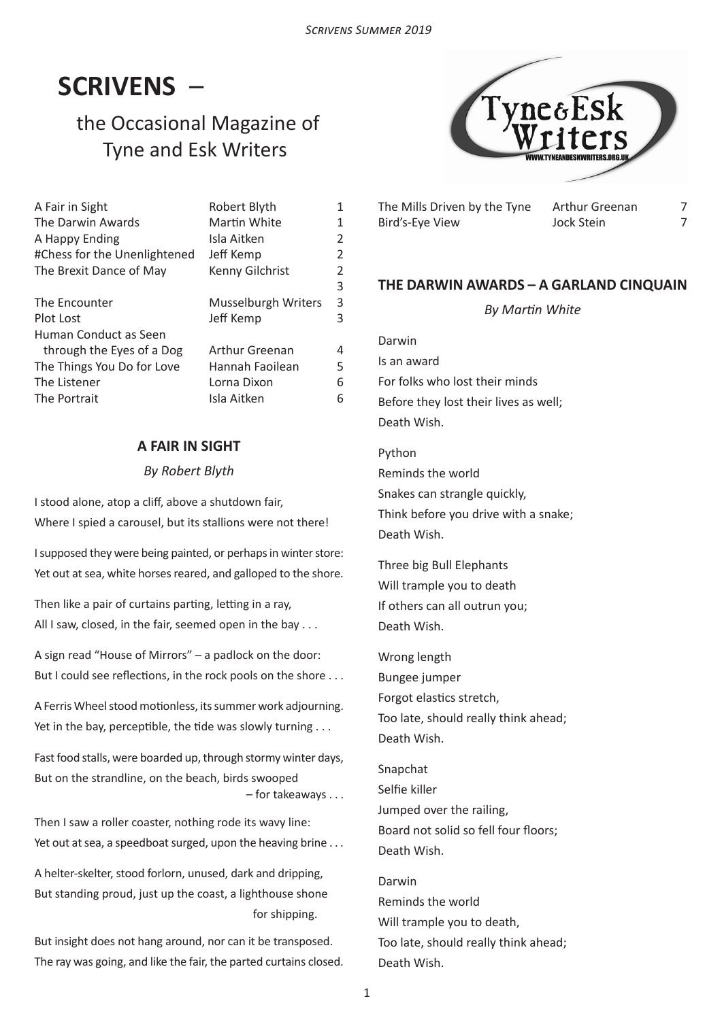# **SCRIVENS** –

## the Occasional Magazine of Tyne and Esk Writers



| A Fair in Sight              | Robert Blyth          | 1 |
|------------------------------|-----------------------|---|
| The Darwin Awards            | Martin White          | 1 |
| A Happy Ending               | Isla Aitken           | 2 |
| #Chess for the Unenlightened | Jeff Kemp             | 2 |
| The Brexit Dance of May      | Kenny Gilchrist       | 2 |
|                              |                       | 3 |
| The Encounter                | Musselburgh Writers   | 3 |
| Plot Lost                    | Jeff Kemp             | 3 |
| Human Conduct as Seen        |                       |   |
| through the Eyes of a Dog    | <b>Arthur Greenan</b> | 4 |
| The Things You Do for Love   | Hannah Faoilean       | 5 |
| The Listener                 | Lorna Dixon           | 6 |
| The Portrait                 | Isla Aitken           | 6 |

## **A FAIR IN SIGHT**

#### *By Robert Blyth*

I stood alone, atop a cliff, above a shutdown fair, Where I spied a carousel, but its stallions were not there!

I supposed they were being painted, or perhaps in winter store: Yet out at sea, white horses reared, and galloped to the shore.

Then like a pair of curtains parting, letting in a ray, All I saw, closed, in the fair, seemed open in the bay . . .

A sign read "House of Mirrors" – a padlock on the door: But I could see reflections, in the rock pools on the shore . . .

A Ferris Wheel stood motionless, its summer work adjourning. Yet in the bay, perceptible, the tide was slowly turning . . .

Fast food stalls, were boarded up, through stormy winter days, But on the strandline, on the beach, birds swooped – for takeaways . . .

Then I saw a roller coaster, nothing rode its wavy line: Yet out at sea, a speedboat surged, upon the heaving brine . . .

A helter-skelter, stood forlorn, unused, dark and dripping, But standing proud, just up the coast, a lighthouse shone for shipping.

But insight does not hang around, nor can it be transposed. The ray was going, and like the fair, the parted curtains closed. The Mills Driven by the Tyne Arthur Greenan Bird's-Eye View Jock Stein

7 7

## **THE DARWIN AWARDS – A GARLAND CINQUAIN**

*By Martin White*

Darwin Is an award For folks who lost their minds Before they lost their lives as well; Death Wish.

Python Reminds the world Snakes can strangle quickly, Think before you drive with a snake; Death Wish.

Three big Bull Elephants Will trample you to death If others can all outrun you; Death Wish.

Wrong length Bungee jumper Forgot elastics stretch, Too late, should really think ahead; Death Wish.

Snapchat Selfie killer Jumped over the railing, Board not solid so fell four floors; Death Wish.

Darwin Reminds the world Will trample you to death, Too late, should really think ahead; Death Wish.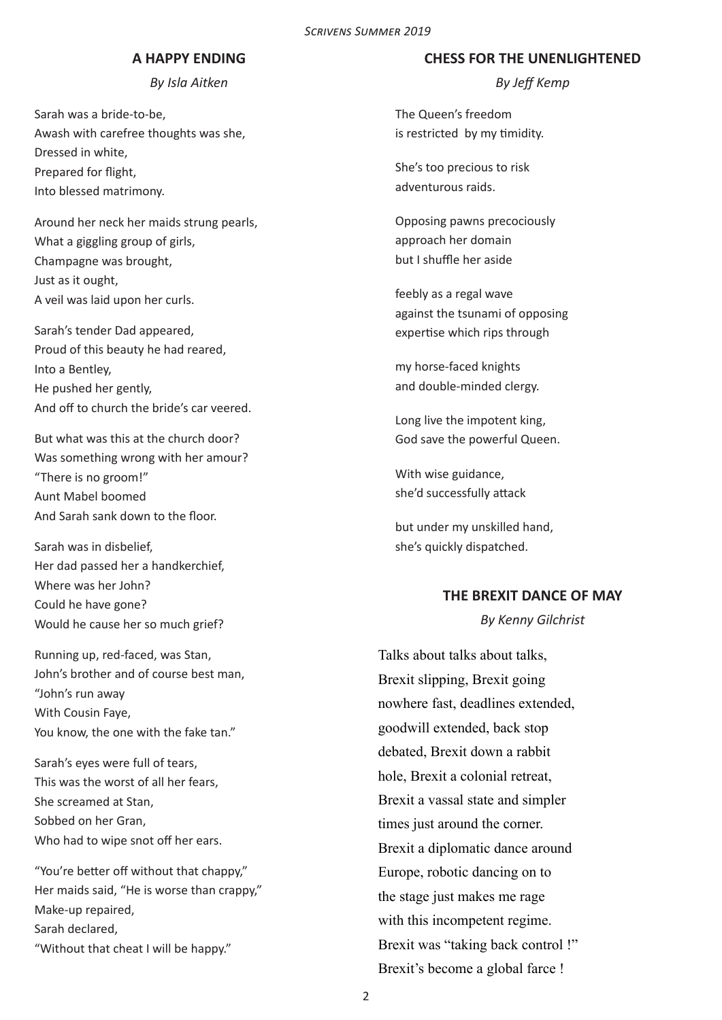#### **A HAPPY ENDING**

*By Isla Aitken*

Sarah was a bride-to-be, Awash with carefree thoughts was she, Dressed in white, Prepared for flight, Into blessed matrimony.

Around her neck her maids strung pearls, What a giggling group of girls, Champagne was brought, Just as it ought, A veil was laid upon her curls.

Sarah's tender Dad appeared, Proud of this beauty he had reared, Into a Bentley, He pushed her gently, And off to church the bride's car veered.

But what was this at the church door? Was something wrong with her amour? "There is no groom!" Aunt Mabel boomed And Sarah sank down to the floor.

Sarah was in disbelief, Her dad passed her a handkerchief, Where was her John? Could he have gone? Would he cause her so much grief?

Running up, red-faced, was Stan, John's brother and of course best man, "John's run away With Cousin Faye, You know, the one with the fake tan."

Sarah's eyes were full of tears, This was the worst of all her fears, She screamed at Stan, Sobbed on her Gran, Who had to wipe snot off her ears.

"You're better off without that chappy," Her maids said, "He is worse than crappy," Make-up repaired, Sarah declared, "Without that cheat I will be happy."

#### **CHESS FOR THE UNENLIGHTENED**

*By Jeff Kemp*

The Queen's freedom is restricted by my timidity.

She's too precious to risk adventurous raids.

Opposing pawns precociously approach her domain but I shuffle her aside

feebly as a regal wave against the tsunami of opposing expertise which rips through

my horse-faced knights and double-minded clergy.

Long live the impotent king, God save the powerful Queen.

With wise guidance, she'd successfully attack

but under my unskilled hand, she's quickly dispatched.

#### **THE BREXIT DANCE OF MAY**

*By Kenny Gilchrist*

Talks about talks about talks, Brexit slipping, Brexit going nowhere fast, deadlines extended, goodwill extended, back stop debated, Brexit down a rabbit hole, Brexit a colonial retreat, Brexit a vassal state and simpler times just around the corner. Brexit a diplomatic dance around Europe, robotic dancing on to the stage just makes me rage with this incompetent regime. Brexit was "taking back control !" Brexit's become a global farce !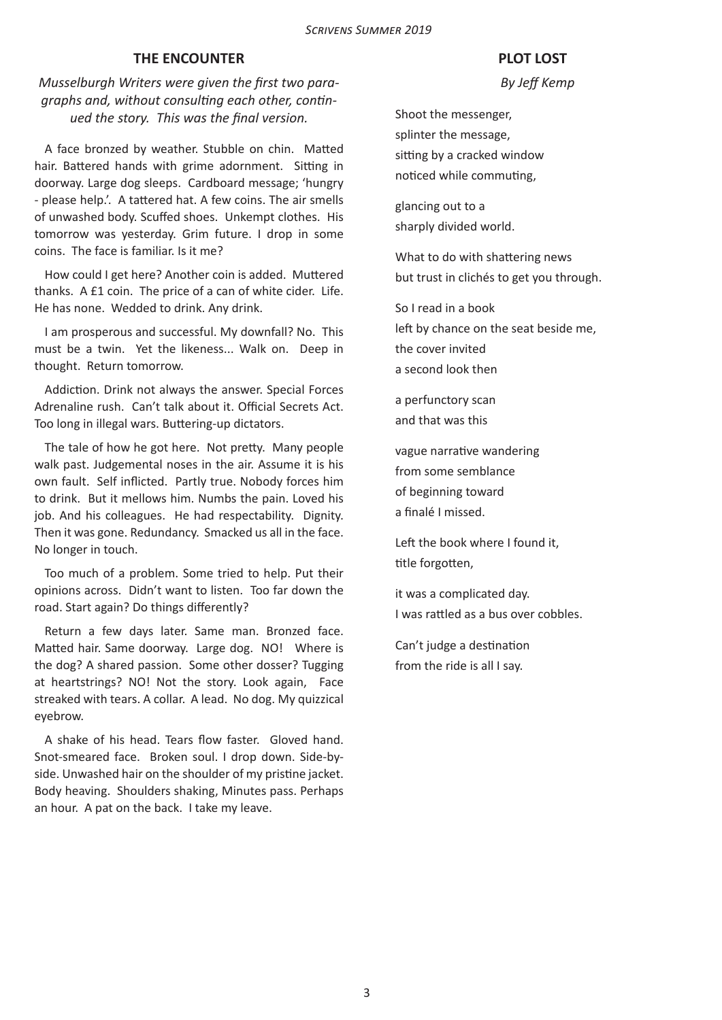#### **THE ENCOUNTER**

## *Musselburgh Writers were given the first two paragraphs and, without consulting each other, continued the story. This was the final version.*

A face bronzed by weather. Stubble on chin. Matted hair. Battered hands with grime adornment. Sitting in doorway. Large dog sleeps. Cardboard message; 'hungry - please help.'. A tattered hat. A few coins. The air smells of unwashed body. Scuffed shoes. Unkempt clothes. His tomorrow was yesterday. Grim future. I drop in some coins. The face is familiar. Is it me?

How could I get here? Another coin is added. Muttered thanks. A £1 coin. The price of a can of white cider. Life. He has none. Wedded to drink. Any drink.

I am prosperous and successful. My downfall? No. This must be a twin. Yet the likeness... Walk on. Deep in thought. Return tomorrow.

Addiction. Drink not always the answer. Special Forces Adrenaline rush. Can't talk about it. Official Secrets Act. Too long in illegal wars. Buttering-up dictators.

The tale of how he got here. Not pretty. Many people walk past. Judgemental noses in the air. Assume it is his own fault. Self inflicted. Partly true. Nobody forces him to drink. But it mellows him. Numbs the pain. Loved his job. And his colleagues. He had respectability. Dignity. Then it was gone. Redundancy. Smacked us all in the face. No longer in touch.

Too much of a problem. Some tried to help. Put their opinions across. Didn't want to listen. Too far down the road. Start again? Do things differently?

Return a few days later. Same man. Bronzed face. Matted hair. Same doorway. Large dog. NO! Where is the dog? A shared passion. Some other dosser? Tugging at heartstrings? NO! Not the story. Look again, Face streaked with tears. A collar. A lead. No dog. My quizzical eyebrow.

A shake of his head. Tears flow faster. Gloved hand. Snot-smeared face. Broken soul. I drop down. Side-byside. Unwashed hair on the shoulder of my pristine jacket. Body heaving. Shoulders shaking, Minutes pass. Perhaps an hour. A pat on the back. I take my leave.

## **PLOT LOST**

 *By Jeff Kemp*

Shoot the messenger, splinter the message, sitting by a cracked window noticed while commuting,

glancing out to a sharply divided world.

What to do with shattering news but trust in clichés to get you through.

So I read in a book left by chance on the seat beside me, the cover invited a second look then

a perfunctory scan and that was this

vague narrative wandering from some semblance of beginning toward a finalé I missed.

Left the book where I found it, title forgotten,

it was a complicated day. I was rattled as a bus over cobbles.

Can't judge a destination from the ride is all I say.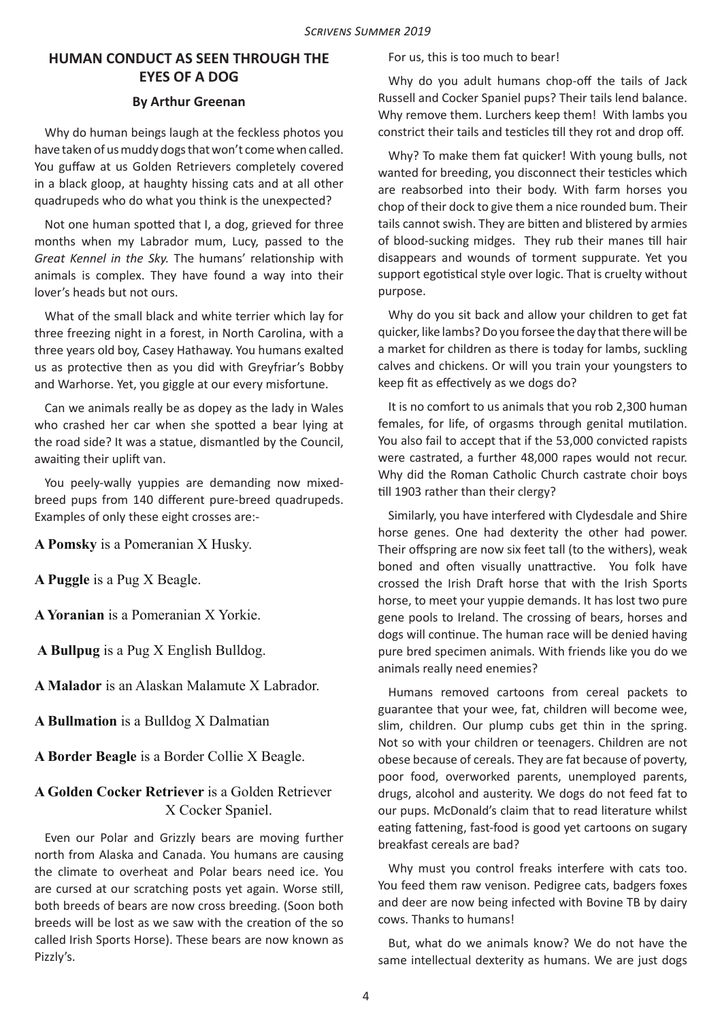## **HUMAN CONDUCT AS SEEN THROUGH THE EYES OF A DOG**

## **By Arthur Greenan**

Why do human beings laugh at the feckless photos you have taken of us muddy dogs that won't come when called. You guffaw at us Golden Retrievers completely covered in a black gloop, at haughty hissing cats and at all other quadrupeds who do what you think is the unexpected?

Not one human spotted that I, a dog, grieved for three months when my Labrador mum, Lucy, passed to the *Great Kennel in the Sky.* The humans' relationship with animals is complex. They have found a way into their lover's heads but not ours.

What of the small black and white terrier which lay for three freezing night in a forest, in North Carolina, with a three years old boy, Casey Hathaway. You humans exalted us as protective then as you did with Greyfriar's Bobby and Warhorse. Yet, you giggle at our every misfortune.

Can we animals really be as dopey as the lady in Wales who crashed her car when she spotted a bear lying at the road side? It was a statue, dismantled by the Council, awaiting their uplift van.

You peely-wally yuppies are demanding now mixedbreed pups from 140 different pure-breed quadrupeds. Examples of only these eight crosses are:-

**A Pomsky** is a Pomeranian X Husky.

**A Puggle** is a Pug X Beagle.

**A Yoranian** is a Pomeranian X Yorkie.

 **A Bullpug** is a Pug X English Bulldog.

**A Malador** is an Alaskan Malamute X Labrador.

**A Bullmation** is a Bulldog X Dalmatian

**A Border Beagle** is a Border Collie X Beagle.

## **A Golden Cocker Retriever** is a Golden Retriever X Cocker Spaniel.

Even our Polar and Grizzly bears are moving further north from Alaska and Canada. You humans are causing the climate to overheat and Polar bears need ice. You are cursed at our scratching posts yet again. Worse still, both breeds of bears are now cross breeding. (Soon both breeds will be lost as we saw with the creation of the so called Irish Sports Horse). These bears are now known as Pizzly's.

For us, this is too much to bear!

Why do you adult humans chop-off the tails of Jack Russell and Cocker Spaniel pups? Their tails lend balance. Why remove them. Lurchers keep them! With lambs you constrict their tails and testicles till they rot and drop off.

Why? To make them fat quicker! With young bulls, not wanted for breeding, you disconnect their testicles which are reabsorbed into their body. With farm horses you chop of their dock to give them a nice rounded bum. Their tails cannot swish. They are bitten and blistered by armies of blood-sucking midges. They rub their manes till hair disappears and wounds of torment suppurate. Yet you support egotistical style over logic. That is cruelty without purpose.

Why do you sit back and allow your children to get fat quicker, like lambs? Do you forsee the day that there will be a market for children as there is today for lambs, suckling calves and chickens. Or will you train your youngsters to keep fit as effectively as we dogs do?

It is no comfort to us animals that you rob 2,300 human females, for life, of orgasms through genital mutilation. You also fail to accept that if the 53,000 convicted rapists were castrated, a further 48,000 rapes would not recur. Why did the Roman Catholic Church castrate choir boys till 1903 rather than their clergy?

Similarly, you have interfered with Clydesdale and Shire horse genes. One had dexterity the other had power. Their offspring are now six feet tall (to the withers), weak boned and often visually unattractive. You folk have crossed the Irish Draft horse that with the Irish Sports horse, to meet your yuppie demands. It has lost two pure gene pools to Ireland. The crossing of bears, horses and dogs will continue. The human race will be denied having pure bred specimen animals. With friends like you do we animals really need enemies?

Humans removed cartoons from cereal packets to guarantee that your wee, fat, children will become wee, slim, children. Our plump cubs get thin in the spring. Not so with your children or teenagers. Children are not obese because of cereals. They are fat because of poverty, poor food, overworked parents, unemployed parents, drugs, alcohol and austerity. We dogs do not feed fat to our pups. McDonald's claim that to read literature whilst eating fattening, fast-food is good yet cartoons on sugary breakfast cereals are bad?

Why must you control freaks interfere with cats too. You feed them raw venison. Pedigree cats, badgers foxes and deer are now being infected with Bovine TB by dairy cows. Thanks to humans!

But, what do we animals know? We do not have the same intellectual dexterity as humans. We are just dogs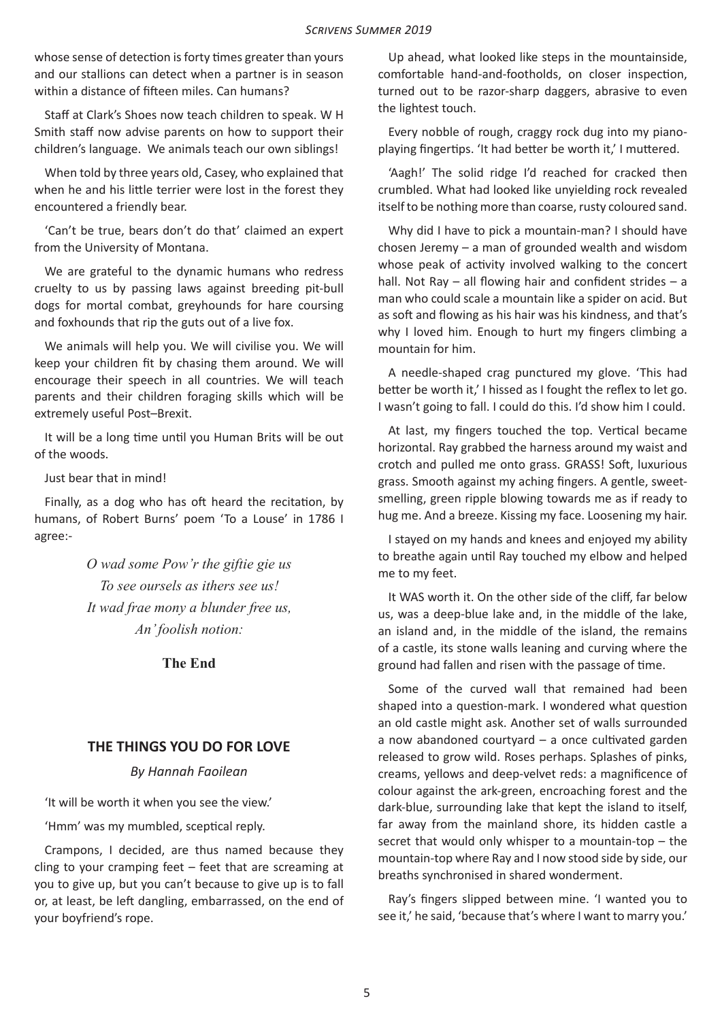whose sense of detection is forty times greater than yours and our stallions can detect when a partner is in season within a distance of fifteen miles. Can humans?

Staff at Clark's Shoes now teach children to speak. W H Smith staff now advise parents on how to support their children's language. We animals teach our own siblings!

When told by three years old, Casey, who explained that when he and his little terrier were lost in the forest they encountered a friendly bear.

'Can't be true, bears don't do that' claimed an expert from the University of Montana.

We are grateful to the dynamic humans who redress cruelty to us by passing laws against breeding pit-bull dogs for mortal combat, greyhounds for hare coursing and foxhounds that rip the guts out of a live fox.

We animals will help you. We will civilise you. We will keep your children fit by chasing them around. We will encourage their speech in all countries. We will teach parents and their children foraging skills which will be extremely useful Post–Brexit.

It will be a long time until you Human Brits will be out of the woods.

Just bear that in mind!

Finally, as a dog who has oft heard the recitation, by humans, of Robert Burns' poem 'To a Louse' in 1786 I agree:-

> *O wad some Pow'r the giftie gie us To see oursels as ithers see us! It wad frae mony a blunder free us, An' foolish notion:*

> > **The End**

## **THE THINGS YOU DO FOR LOVE**

#### *By Hannah Faoilean*

'It will be worth it when you see the view.'

'Hmm' was my mumbled, sceptical reply.

Crampons, I decided, are thus named because they cling to your cramping feet – feet that are screaming at you to give up, but you can't because to give up is to fall or, at least, be left dangling, embarrassed, on the end of your boyfriend's rope.

Up ahead, what looked like steps in the mountainside, comfortable hand-and-footholds, on closer inspection, turned out to be razor-sharp daggers, abrasive to even the lightest touch.

Every nobble of rough, craggy rock dug into my pianoplaying fingertips. 'It had better be worth it,' I muttered.

'Aagh!' The solid ridge I'd reached for cracked then crumbled. What had looked like unyielding rock revealed itself to be nothing more than coarse, rusty coloured sand.

Why did I have to pick a mountain-man? I should have chosen Jeremy – a man of grounded wealth and wisdom whose peak of activity involved walking to the concert hall. Not Ray – all flowing hair and confident strides – a man who could scale a mountain like a spider on acid. But as soft and flowing as his hair was his kindness, and that's why I loved him. Enough to hurt my fingers climbing a mountain for him.

A needle-shaped crag punctured my glove. 'This had better be worth it,' I hissed as I fought the reflex to let go. I wasn't going to fall. I could do this. I'd show him I could.

At last, my fingers touched the top. Vertical became horizontal. Ray grabbed the harness around my waist and crotch and pulled me onto grass. GRASS! Soft, luxurious grass. Smooth against my aching fingers. A gentle, sweetsmelling, green ripple blowing towards me as if ready to hug me. And a breeze. Kissing my face. Loosening my hair.

I stayed on my hands and knees and enjoyed my ability to breathe again until Ray touched my elbow and helped me to my feet.

It WAS worth it. On the other side of the cliff, far below us, was a deep-blue lake and, in the middle of the lake, an island and, in the middle of the island, the remains of a castle, its stone walls leaning and curving where the ground had fallen and risen with the passage of time.

Some of the curved wall that remained had been shaped into a question-mark. I wondered what question an old castle might ask. Another set of walls surrounded a now abandoned courtyard – a once cultivated garden released to grow wild. Roses perhaps. Splashes of pinks, creams, yellows and deep-velvet reds: a magnificence of colour against the ark-green, encroaching forest and the dark-blue, surrounding lake that kept the island to itself, far away from the mainland shore, its hidden castle a secret that would only whisper to a mountain-top – the mountain-top where Ray and I now stood side by side, our breaths synchronised in shared wonderment.

Ray's fingers slipped between mine. 'I wanted you to see it,' he said, 'because that's where I want to marry you.'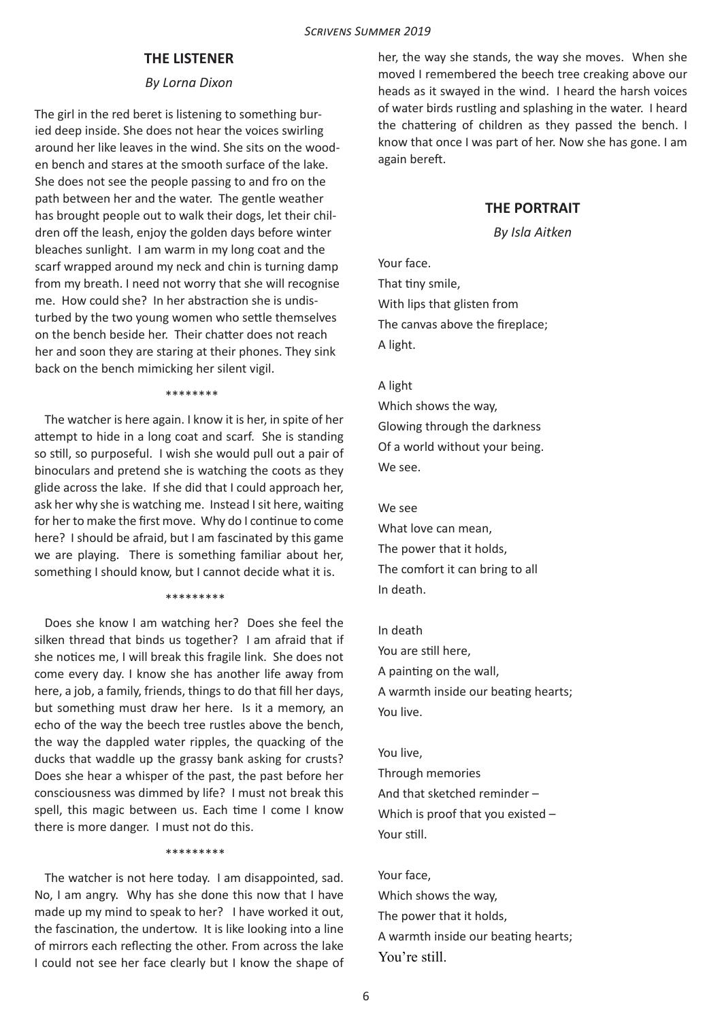## **THE LISTENER**

#### *By Lorna Dixon*

The girl in the red beret is listening to something buried deep inside. She does not hear the voices swirling around her like leaves in the wind. She sits on the wooden bench and stares at the smooth surface of the lake. She does not see the people passing to and fro on the path between her and the water. The gentle weather has brought people out to walk their dogs, let their children off the leash, enjoy the golden days before winter bleaches sunlight. I am warm in my long coat and the scarf wrapped around my neck and chin is turning damp from my breath. I need not worry that she will recognise me. How could she? In her abstraction she is undisturbed by the two young women who settle themselves on the bench beside her. Their chatter does not reach her and soon they are staring at their phones. They sink back on the bench mimicking her silent vigil.

\*\*\*\*\*\*\*\*

The watcher is here again. I know it is her, in spite of her attempt to hide in a long coat and scarf. She is standing so still, so purposeful. I wish she would pull out a pair of binoculars and pretend she is watching the coots as they glide across the lake. If she did that I could approach her, ask her why she is watching me. Instead I sit here, waiting for her to make the first move. Why do I continue to come here? I should be afraid, but I am fascinated by this game we are playing. There is something familiar about her, something I should know, but I cannot decide what it is.

#### \*\*\*\*\*\*\*\*\*

Does she know I am watching her? Does she feel the silken thread that binds us together? I am afraid that if she notices me, I will break this fragile link. She does not come every day. I know she has another life away from here, a job, a family, friends, things to do that fill her days, but something must draw her here. Is it a memory, an echo of the way the beech tree rustles above the bench, the way the dappled water ripples, the quacking of the ducks that waddle up the grassy bank asking for crusts? Does she hear a whisper of the past, the past before her consciousness was dimmed by life? I must not break this spell, this magic between us. Each time I come I know there is more danger. I must not do this.

#### \*\*\*\*\*\*\*\*\*

The watcher is not here today. I am disappointed, sad. No, I am angry. Why has she done this now that I have made up my mind to speak to her? I have worked it out, the fascination, the undertow. It is like looking into a line of mirrors each reflecting the other. From across the lake I could not see her face clearly but I know the shape of her, the way she stands, the way she moves. When she moved I remembered the beech tree creaking above our heads as it swayed in the wind. I heard the harsh voices of water birds rustling and splashing in the water. I heard the chattering of children as they passed the bench. I know that once I was part of her. Now she has gone. I am again bereft.

#### **THE PORTRAIT**

*By Isla Aitken*

Your face. That tiny smile, With lips that glisten from The canvas above the fireplace; A light.

#### A light

Which shows the way, Glowing through the darkness Of a world without your being. We see.

#### $M = 50$

What love can mean, The power that it holds, The comfort it can bring to all In death.

#### In death

You are still here, A painting on the wall, A warmth inside our beating hearts; You live.

You live, Through memories And that sketched reminder – Which is proof that you existed – Your still.

Your face, Which shows the way, The power that it holds, A warmth inside our beating hearts; You're still.